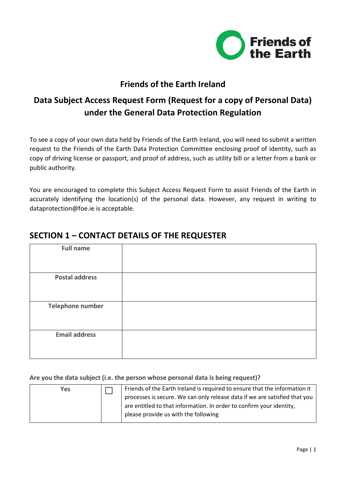

### **Friends of the Earth Ireland**

# **Data Subject Access Request Form (Request for a copy of Personal Data) under the General Data Protection Regulation**

To see a copy of your own data held by Friends of the Earth Ireland, you will need to submit a written request to the Friends of the Earth Data Protection Committee enclosing proof of identity, such as copy of driving license or passport, and proof of address, such as utility bill or a letter from a bank or public authority.

You are encouraged to complete this Subject Access Request Form to assist Friends of the Earth in accurately identifying the location(s) of the personal data. However, any request in writing to dataprotection@foe.ie is acceptable.

| <b>Full name</b>      |  |
|-----------------------|--|
|                       |  |
| <b>Postal address</b> |  |
|                       |  |
| Telephone number      |  |
| <b>Email address</b>  |  |

### **SECTION 1 – CONTACT DETAILS OF THE REQUESTER**

#### **Are you the data subject (i.e. the person whose personal data is being request)?**

| Yes | Friends of the Earth Ireland is required to ensure that the information it |
|-----|----------------------------------------------------------------------------|
|     | processes is secure. We can only release data if we are satisfied that you |
|     | are entitled to that information. In order to confirm your identity,       |
|     | please provide us with the following                                       |
|     |                                                                            |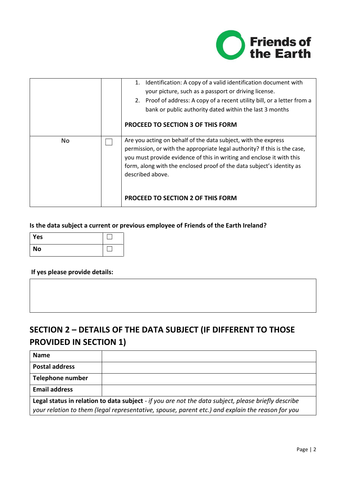

|           | Identification: A copy of a valid identification document with<br>1.<br>your picture, such as a passport or driving license.<br>2. Proof of address: A copy of a recent utility bill, or a letter from a<br>bank or public authority dated within the last 3 months<br><b>PROCEED TO SECTION 3 OF THIS FORM</b>                                               |
|-----------|---------------------------------------------------------------------------------------------------------------------------------------------------------------------------------------------------------------------------------------------------------------------------------------------------------------------------------------------------------------|
| <b>No</b> | Are you acting on behalf of the data subject, with the express<br>permission, or with the appropriate legal authority? If this is the case,<br>you must provide evidence of this in writing and enclose it with this<br>form, along with the enclosed proof of the data subject's identity as<br>described above.<br><b>PROCEED TO SECTION 2 OF THIS FORM</b> |

#### **Is the data subject a current or previous employee of Friends of the Earth Ireland?**

| Yes       |  |
|-----------|--|
| <b>No</b> |  |

#### **If yes please provide details:**

# **SECTION 2 – DETAILS OF THE DATA SUBJECT (IF DIFFERENT TO THOSE PROVIDED IN SECTION 1)**

| <b>Name</b>                                                                                         |  |  |
|-----------------------------------------------------------------------------------------------------|--|--|
| <b>Postal address</b>                                                                               |  |  |
| Telephone number                                                                                    |  |  |
| <b>Email address</b>                                                                                |  |  |
| Legal status in relation to data subject - if you are not the data subject, please briefly describe |  |  |
| your relation to them (legal representative, spouse, parent etc.) and explain the reason for you    |  |  |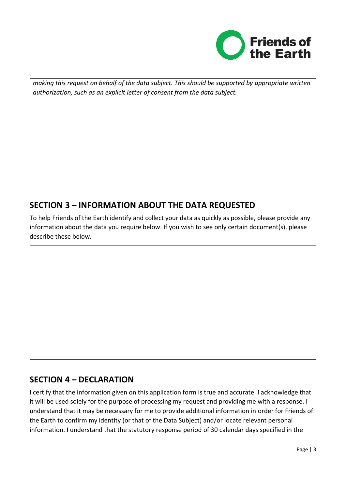

*making this request on behalf of the data subject. This should be supported by appropriate written authorization, such as an explicit letter of consent from the data subject.*

## **SECTION 3 – INFORMATION ABOUT THE DATA REQUESTED**

To help Friends of the Earth identify and collect your data as quickly as possible, please provide any information about the data you require below. If you wish to see only certain document(s), please describe these below.

### **SECTION 4 – DECLARATION**

I certify that the information given on this application form is true and accurate. I acknowledge that it will be used solely for the purpose of processing my request and providing me with a response. I understand that it may be necessary for me to provide additional information in order for Friends of the Earth to confirm my identity (or that of the Data Subject) and/or locate relevant personal information. I understand that the statutory response period of 30 calendar days specified in the